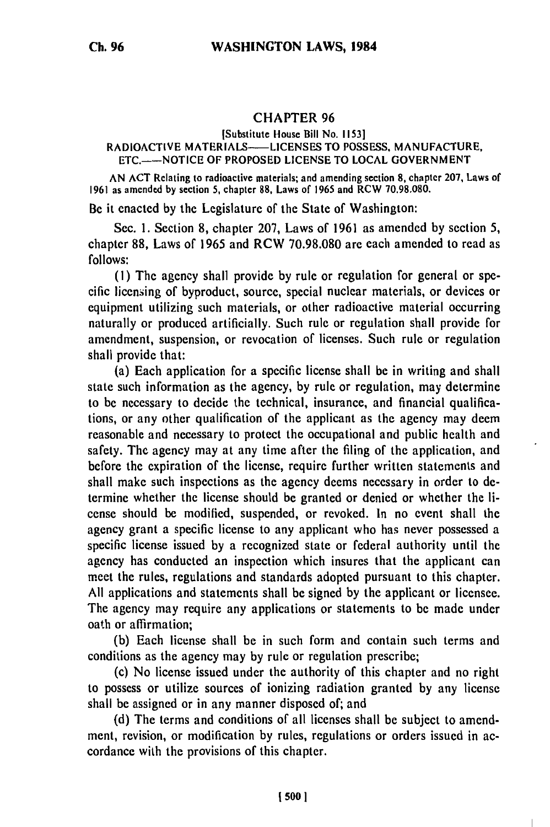## CHAPTER **96**

## [Substitute House Bill No. **1153]** RADIOACTIVE MATERIALS-LICENSES TO POSSESS, **MANUFACTURE, ETC.-NOTICE** OF PROPOSED **LICENSE** TO **LOCAL GOVERNMENT**

AN **ACT** Rclating to radioactive materials; and amending section **8,** chapter **207,** Laws of 1961 as amended **by** section 5, chapter **88,** Laws of 1965 and RCW 70.98.080.

**Be** it enacted by the Legislature of the State of Washington:

Sec. **1.** Section **8,** chapter 207, Laws of 1961 as amended **by** section 5, chapter 88, Laws of 1965 and RCW 70.98.080 are each amended to read as **follows:**

**(I)** The agency shall provide **by** rule or regulation for general or specific licensing of byproduct, source, special nuclear materials, or devices or equipment utilizing such materials, or other radioactive material occurring naturally or produced artificially. Such rule or regulation shall provide for amendment, suspension, or revocation of licenses. Such rule or regulation shall provide that:

(a) Each application for a specific license shall be in writing and shall state such information as the agency, by rule or regulation, may determine to be necessary to decide the technical, insurance, and financial qualifications, or any other qualification of the applicant as the agency may deem reasonable and necessary to protect the occupational and public health and safety. The agency may at any time after the filing of the application, and before the expiration of the license, require further written statements and shall make such inspections as the agency deems necessary in order to determine whether the license should be granted or denied or whether the license should be modified, suspended, or revoked. In no event shall the agency grant a specific license to any applicant who has never possessed a specific license issued **by** a recognized state or federal authority until the agency has conducted an inspection which insures that the applicant can meet the rules, regulations and standards adopted pursuant to this chapter. **All** applications and statements shall be signed **by** the applicant or licensee. The agency may require any applications or statements to be made under oath or affirmation;

**(b)** Each license shall be in such form and contain such terms and conditions as the agency may **by** rule or regulation prescribe;

(c) No license issued under the authority of this chapter and no right to possess or utilize sources of ionizing radiation granted **by** any license shall be assigned or in any manner disposed of; and

**(d)** The terms and conditions of all licenses shall be subject to amendment, revision, or modification **by** rules, regulations or orders issued in accordance with the provisions of this chapter.